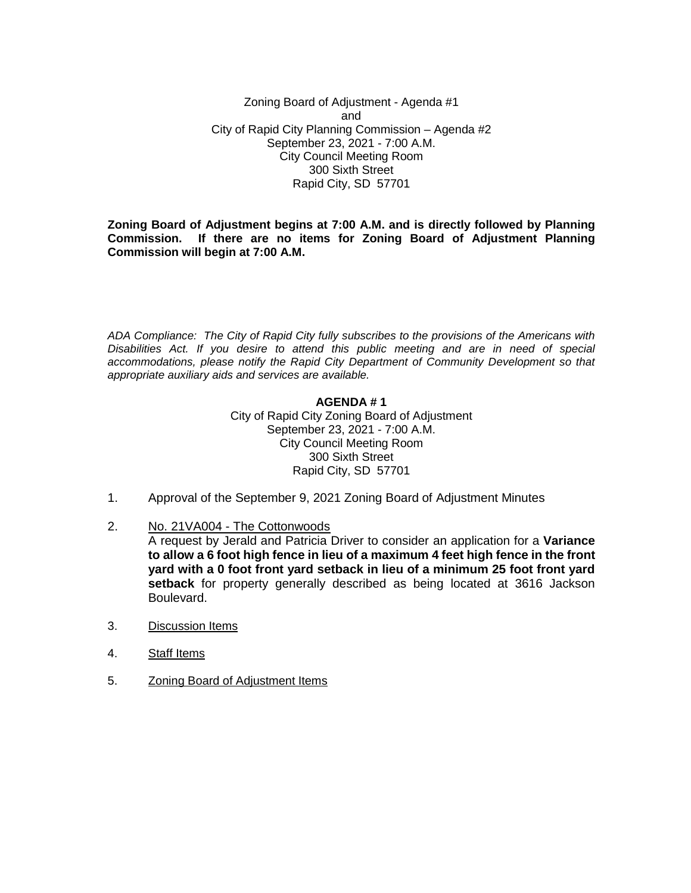Zoning Board of Adjustment - Agenda #1 and City of Rapid City Planning Commission – Agenda #2 September 23, 2021 - 7:00 A.M. City Council Meeting Room 300 Sixth Street Rapid City, SD 57701

**Zoning Board of Adjustment begins at 7:00 A.M. and is directly followed by Planning Commission. If there are no items for Zoning Board of Adjustment Planning Commission will begin at 7:00 A.M.**

*ADA Compliance: The City of Rapid City fully subscribes to the provisions of the Americans with Disabilities Act. If you desire to attend this public meeting and are in need of special accommodations, please notify the Rapid City Department of Community Development so that appropriate auxiliary aids and services are available.*

#### **AGENDA # 1**

City of Rapid City Zoning Board of Adjustment September 23, 2021 - 7:00 A.M. City Council Meeting Room 300 Sixth Street Rapid City, SD 57701

- 1. Approval of the September 9, 2021 Zoning Board of Adjustment Minutes
- 2. No. 21VA004 The Cottonwoods

A request by Jerald and Patricia Driver to consider an application for a **Variance to allow a 6 foot high fence in lieu of a maximum 4 feet high fence in the front yard with a 0 foot front yard setback in lieu of a minimum 25 foot front yard setback** for property generally described as being located at 3616 Jackson Boulevard.

- 3. Discussion Items
- 4. Staff Items
- 5. Zoning Board of Adjustment Items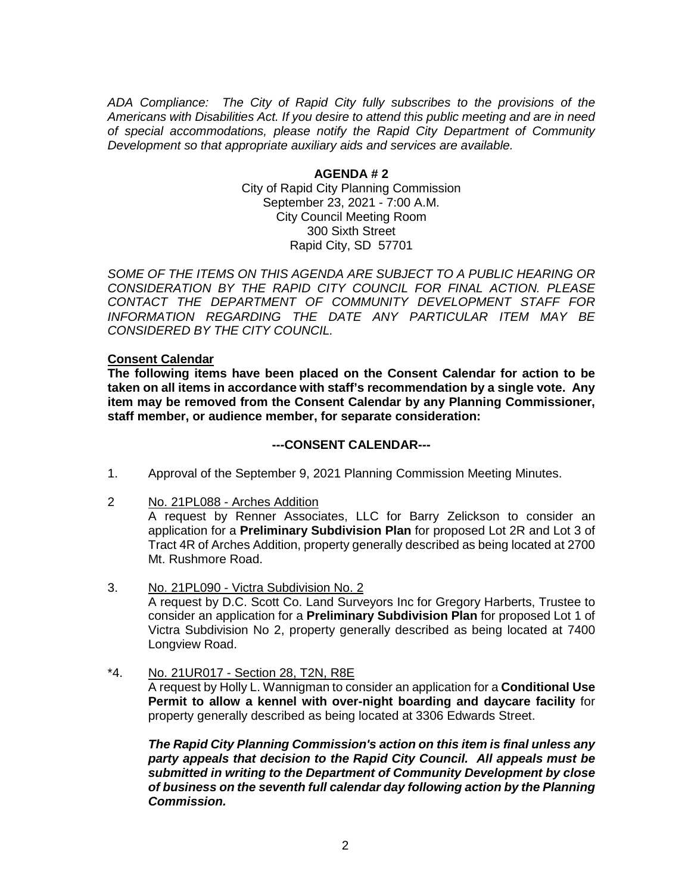*ADA Compliance: The City of Rapid City fully subscribes to the provisions of the Americans with Disabilities Act. If you desire to attend this public meeting and are in need of special accommodations, please notify the Rapid City Department of Community Development so that appropriate auxiliary aids and services are available.*

### **AGENDA # 2** City of Rapid City Planning Commission September 23, 2021 - 7:00 A.M. City Council Meeting Room 300 Sixth Street Rapid City, SD 57701

*SOME OF THE ITEMS ON THIS AGENDA ARE SUBJECT TO A PUBLIC HEARING OR CONSIDERATION BY THE RAPID CITY COUNCIL FOR FINAL ACTION. PLEASE CONTACT THE DEPARTMENT OF COMMUNITY DEVELOPMENT STAFF FOR INFORMATION REGARDING THE DATE ANY PARTICULAR ITEM MAY BE CONSIDERED BY THE CITY COUNCIL.*

### **Consent Calendar**

**The following items have been placed on the Consent Calendar for action to be taken on all items in accordance with staff's recommendation by a single vote. Any item may be removed from the Consent Calendar by any Planning Commissioner, staff member, or audience member, for separate consideration:**

## **---CONSENT CALENDAR---**

- 1. Approval of the September 9, 2021 Planning Commission Meeting Minutes.
- 2 No. 21PL088 Arches Addition

A request by Renner Associates, LLC for Barry Zelickson to consider an application for a **Preliminary Subdivision Plan** for proposed Lot 2R and Lot 3 of Tract 4R of Arches Addition, property generally described as being located at 2700 Mt. Rushmore Road.

- 3. No. 21PL090 Victra Subdivision No. 2 A request by D.C. Scott Co. Land Surveyors Inc for Gregory Harberts, Trustee to consider an application for a **Preliminary Subdivision Plan** for proposed Lot 1 of Victra Subdivision No 2, property generally described as being located at 7400 Longview Road.
- \*4. No. 21UR017 Section 28, T2N, R8E

A request by Holly L. Wannigman to consider an application for a **Conditional Use Permit to allow a kennel with over-night boarding and daycare facility** for property generally described as being located at 3306 Edwards Street.

*The Rapid City Planning Commission's action on this item is final unless any party appeals that decision to the Rapid City Council. All appeals must be submitted in writing to the Department of Community Development by close of business on the seventh full calendar day following action by the Planning Commission.*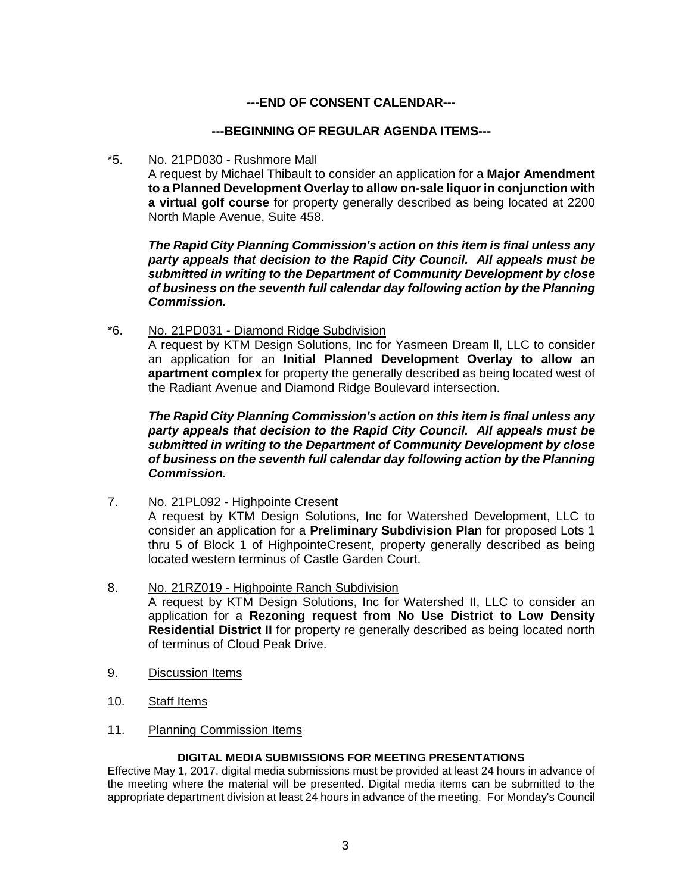# **---END OF CONSENT CALENDAR---**

## **---BEGINNING OF REGULAR AGENDA ITEMS---**

\*5. No. 21PD030 - Rushmore Mall

A request by Michael Thibault to consider an application for a **Major Amendment to a Planned Development Overlay to allow on-sale liquor in conjunction with a virtual golf course** for property generally described as being located at 2200 North Maple Avenue, Suite 458.

*The Rapid City Planning Commission's action on this item is final unless any party appeals that decision to the Rapid City Council. All appeals must be submitted in writing to the Department of Community Development by close of business on the seventh full calendar day following action by the Planning Commission.*

\*6. No. 21PD031 - Diamond Ridge Subdivision A request by KTM Design Solutions, Inc for Yasmeen Dream ll, LLC to consider an application for an **Initial Planned Development Overlay to allow an apartment complex** for property the generally described as being located west of the Radiant Avenue and Diamond Ridge Boulevard intersection.

*The Rapid City Planning Commission's action on this item is final unless any party appeals that decision to the Rapid City Council. All appeals must be submitted in writing to the Department of Community Development by close of business on the seventh full calendar day following action by the Planning Commission.*

7. No. 21PL092 - Highpointe Cresent

A request by KTM Design Solutions, Inc for Watershed Development, LLC to consider an application for a **Preliminary Subdivision Plan** for proposed Lots 1 thru 5 of Block 1 of HighpointeCresent, property generally described as being located western terminus of Castle Garden Court.

- 8. No. 21RZ019 Highpointe Ranch Subdivision A request by KTM Design Solutions, Inc for Watershed II, LLC to consider an application for a **Rezoning request from No Use District to Low Density Residential District II** for property re generally described as being located north of terminus of Cloud Peak Drive.
- 9. Discussion Items
- 10. Staff Items
- 11. Planning Commission Items

### **DIGITAL MEDIA SUBMISSIONS FOR MEETING PRESENTATIONS**

Effective May 1, 2017, digital media submissions must be provided at least 24 hours in advance of the meeting where the material will be presented. Digital media items can be submitted to the appropriate department division at least 24 hours in advance of the meeting. For Monday's Council